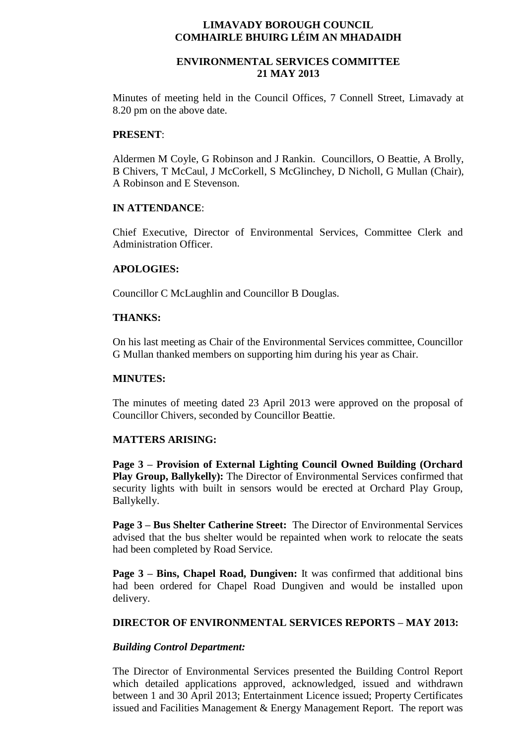#### **LIMAVADY BOROUGH COUNCIL COMHAIRLE BHUIRG LÉIM AN MHADAIDH**

# **ENVIRONMENTAL SERVICES COMMITTEE 21 MAY 2013**

Minutes of meeting held in the Council Offices, 7 Connell Street, Limavady at 8.20 pm on the above date.

#### **PRESENT**:

Aldermen M Coyle, G Robinson and J Rankin. Councillors, O Beattie, A Brolly, B Chivers, T McCaul, J McCorkell, S McGlinchey, D Nicholl, G Mullan (Chair), A Robinson and E Stevenson.

## **IN ATTENDANCE**:

Chief Executive, Director of Environmental Services, Committee Clerk and Administration Officer.

## **APOLOGIES:**

Councillor C McLaughlin and Councillor B Douglas.

## **THANKS:**

On his last meeting as Chair of the Environmental Services committee, Councillor G Mullan thanked members on supporting him during his year as Chair.

#### **MINUTES:**

The minutes of meeting dated 23 April 2013 were approved on the proposal of Councillor Chivers, seconded by Councillor Beattie.

#### **MATTERS ARISING:**

**Page 3 – Provision of External Lighting Council Owned Building (Orchard Play Group, Ballykelly):** The Director of Environmental Services confirmed that security lights with built in sensors would be erected at Orchard Play Group, Ballykelly.

**Page 3 – Bus Shelter Catherine Street:** The Director of Environmental Services advised that the bus shelter would be repainted when work to relocate the seats had been completed by Road Service.

**Page 3 – Bins, Chapel Road, Dungiven:** It was confirmed that additional bins had been ordered for Chapel Road Dungiven and would be installed upon delivery.

#### **DIRECTOR OF ENVIRONMENTAL SERVICES REPORTS – MAY 2013:**

# *Building Control Department:*

The Director of Environmental Services presented the Building Control Report which detailed applications approved, acknowledged, issued and withdrawn between 1 and 30 April 2013; Entertainment Licence issued; Property Certificates issued and Facilities Management & Energy Management Report. The report was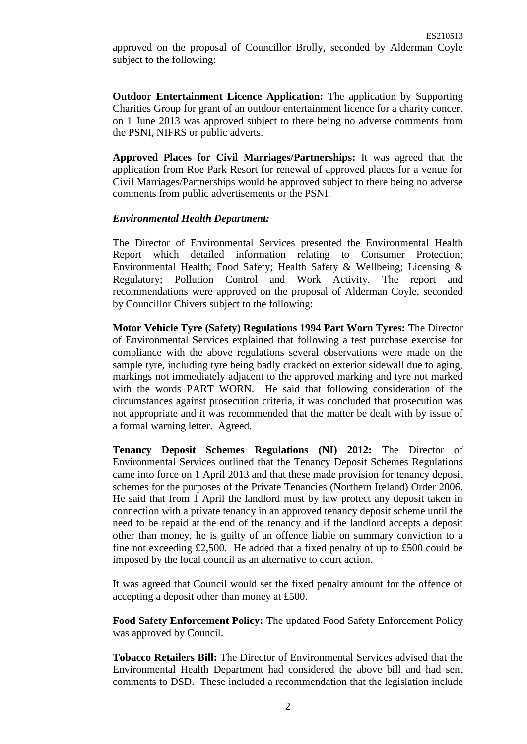**Outdoor Entertainment Licence Application:** The application by Supporting Charities Group for grant of an outdoor entertainment licence for a charity concert on 1 June 2013 was approved subject to there being no adverse comments from the PSNI, NIFRS or public adverts.

**Approved Places for Civil Marriages/Partnerships:** It was agreed that the application from Roe Park Resort for renewal of approved places for a venue for Civil Marriages/Partnerships would be approved subject to there being no adverse comments from public advertisements or the PSNI.

## *Environmental Health Department:*

The Director of Environmental Services presented the Environmental Health Report which detailed information relating to Consumer Protection; Environmental Health; Food Safety; Health Safety & Wellbeing; Licensing & Regulatory; Pollution Control and Work Activity. The report and recommendations were approved on the proposal of Alderman Coyle, seconded by Councillor Chivers subject to the following:

**Motor Vehicle Tyre (Safety) Regulations 1994 Part Worn Tyres:** The Director of Environmental Services explained that following a test purchase exercise for compliance with the above regulations several observations were made on the sample tyre, including tyre being badly cracked on exterior sidewall due to aging, markings not immediately adjacent to the approved marking and tyre not marked with the words PART WORN. He said that following consideration of the circumstances against prosecution criteria, it was concluded that prosecution was not appropriate and it was recommended that the matter be dealt with by issue of a formal warning letter. Agreed.

**Tenancy Deposit Schemes Regulations (NI) 2012:** The Director of Environmental Services outlined that the Tenancy Deposit Schemes Regulations came into force on 1 April 2013 and that these made provision for tenancy deposit schemes for the purposes of the Private Tenancies (Northern Ireland) Order 2006. He said that from 1 April the landlord must by law protect any deposit taken in connection with a private tenancy in an approved tenancy deposit scheme until the need to be repaid at the end of the tenancy and if the landlord accepts a deposit other than money, he is guilty of an offence liable on summary conviction to a fine not exceeding £2,500. He added that a fixed penalty of up to £500 could be imposed by the local council as an alternative to court action.

It was agreed that Council would set the fixed penalty amount for the offence of accepting a deposit other than money at £500.

**Food Safety Enforcement Policy:** The updated Food Safety Enforcement Policy was approved by Council.

**Tobacco Retailers Bill:** The Director of Environmental Services advised that the Environmental Health Department had considered the above bill and had sent comments to DSD. These included a recommendation that the legislation include